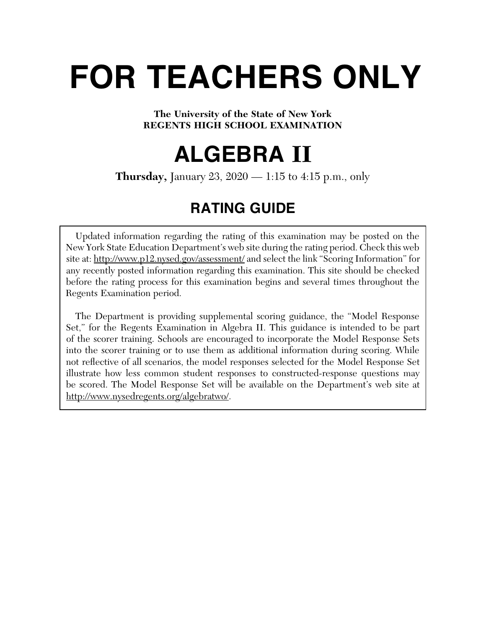# **FOR TEACHERS ONLY**

# **The University of the State of New York REGENTS HIGH SCHOOL EXAMINATION**

# **ALGEBRA II**

**Thursday,** January 23, 2020 — 1:15 to 4:15 p.m., only

# **RATING GUIDE**

Updated information regarding the rating of this examination may be posted on the New York State Education Department's web site during the rating period. Check this web site at: http://www.p12.nysed.gov/assessment/ and select the link "Scoring Information" for any recently posted information regarding this examination. This site should be checked before the rating process for this examination begins and several times throughout the Regents Examination period.

 The Department is providing supplemental scoring guidance, the "Model Response Set," for the Regents Examination in Algebra II. This guidance is intended to be part of the scorer training. Schools are encouraged to incorporate the Model Response Sets into the scorer training or to use them as additional information during scoring. While not reflective of all scenarios, the model responses selected for the Model Response Set illustrate how less common student responses to constructed-response questions may be scored. The Model Response Set will be available on the Department's web site at http://www.nysedregents.org/algebratwo/.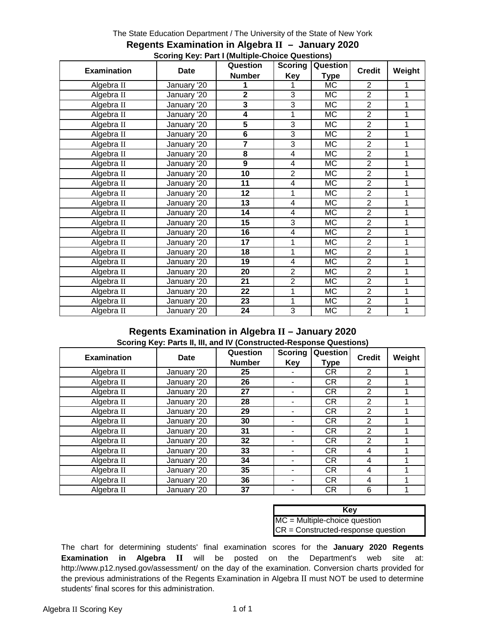#### The State Education Department / The University of the State of New York

|                    | 00011119 RGy. Fare (Manupic-Onolog Questions)<br><b>Scoring</b> | Question                  |                |             |                |        |
|--------------------|-----------------------------------------------------------------|---------------------------|----------------|-------------|----------------|--------|
| <b>Examination</b> | <b>Date</b>                                                     | Question<br><b>Number</b> | <b>Key</b>     | <b>Type</b> | <b>Credit</b>  | Weight |
| Algebra II         | January '20                                                     |                           |                | MC          | $\overline{2}$ |        |
| Algebra II         | January '20                                                     | $\overline{\mathbf{2}}$   | 3              | MC          | $\overline{2}$ |        |
| Algebra II         | January '20                                                     | 3                         | 3              | MC          | $\overline{2}$ |        |
| Algebra II         | January '20                                                     | 4                         | 1              | МC          | $\overline{2}$ |        |
| Algebra II         | January '20                                                     | 5                         | 3              | МC          | $\overline{2}$ |        |
| Algebra II         | January '20                                                     | 6                         | 3              | МC          | $\overline{2}$ |        |
| Algebra II         | January '20                                                     | $\overline{\mathbf{7}}$   | 3              | <b>MC</b>   | $\overline{2}$ |        |
| Algebra II         | January '20                                                     | 8                         | 4              | <b>MC</b>   | $\overline{2}$ |        |
| Algebra II         | January '20                                                     | 9                         | 4              | MC          | $\overline{2}$ |        |
| Algebra II         | January '20                                                     | 10                        | $\overline{2}$ | МC          | $\overline{2}$ |        |
| Algebra II         | January '20                                                     | 11                        | 4              | МC          | $\overline{2}$ |        |
| Algebra II         | January '20                                                     | 12                        | 1              | <b>MC</b>   | $\overline{2}$ |        |
| Algebra II         | January '20                                                     | 13                        | 4              | <b>MC</b>   | $\overline{2}$ |        |
| Algebra II         | January '20                                                     | 14                        | 4              | <b>MC</b>   | $\overline{2}$ |        |
| Algebra II         | January '20                                                     | 15                        | 3              | МC          | $\overline{2}$ |        |
| Algebra II         | January '20                                                     | 16                        | 4              | МC          | $\overline{2}$ |        |
| Algebra II         | January '20                                                     | 17                        | 1              | МC          | $\overline{2}$ |        |
| Algebra II         | January '20                                                     | 18                        | 1              | МC          | $\overline{2}$ |        |
| Algebra II         | January '20                                                     | 19                        | 4              | <b>MC</b>   | $\overline{2}$ |        |
| Algebra II         | January '20                                                     | 20                        | $\overline{2}$ | <b>MC</b>   | $\overline{2}$ |        |
| Algebra II         | January '20                                                     | 21                        | $\overline{2}$ | MC          | $\overline{2}$ |        |
| Algebra II         | January '20                                                     | 22                        | 1              | <b>MC</b>   | $\overline{2}$ |        |
| Algebra II         | January '20                                                     | 23                        | 1              | МC          | $\overline{2}$ |        |
| Algebra II         | January '20                                                     | 24                        | 3              | MC          | $\overline{2}$ |        |

#### **Regents Examination in Algebra II – January 2020 Scoring Key: Part I (Multiple-Choice Questions)**

#### **Regents Examination in Algebra II – January 2020 Scoring Key: Parts II, III, and IV (Constructed-Response Questions)**

| <b>Examination</b> | Date        | Question<br><b>Number</b> | <b>Scoring</b><br>Key | Question<br><b>Type</b> | <b>Credit</b>  | Weight |
|--------------------|-------------|---------------------------|-----------------------|-------------------------|----------------|--------|
| Algebra II         | January '20 | 25                        |                       | CR.                     | 2              |        |
| Algebra II         | January '20 | 26                        |                       | <b>CR</b>               | $\overline{2}$ |        |
| Algebra II         | January '20 | 27                        |                       | <b>CR</b>               | $\overline{2}$ |        |
| Algebra II         | January '20 | 28                        |                       | <b>CR</b>               | $\overline{2}$ |        |
| Algebra II         | January '20 | 29                        |                       | <b>CR</b>               | $\overline{2}$ |        |
| Algebra II         | January '20 | 30                        |                       | <b>CR</b>               | $\overline{2}$ |        |
| Algebra II         | January '20 | 31                        |                       | <b>CR</b>               | 2              |        |
| Algebra II         | January '20 | 32                        |                       | <b>CR</b>               | $\overline{2}$ |        |
| Algebra II         | January '20 | 33                        |                       | <b>CR</b>               | 4              |        |
| Algebra II         | January '20 | 34                        |                       | <b>CR</b>               | 4              |        |
| Algebra II         | January '20 | 35                        |                       | <b>CR</b>               | 4              |        |
| Algebra II         | January '20 | 36                        |                       | <b>CR</b>               | 4              |        |
| Algebra II         | January '20 | 37                        |                       | <b>CR</b>               | 6              |        |

| Key                                  |
|--------------------------------------|
| $MC = Multiple-choice question$      |
| $CR = Constructed-response question$ |

The chart for determining students' final examination scores for the **January 2020 Regents Examination in Algebra II** will be posted on the Department's web site at: http://www.p12.nysed.gov/assessment/ on the day of the examination. Conversion charts provided for the previous administrations of the Regents Examination in Algebra II must NOT be used to determine students' final scores for this administration.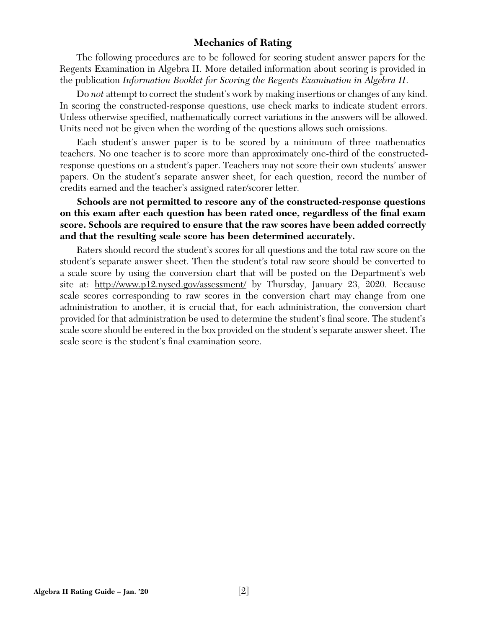# **Mechanics of Rating**

The following procedures are to be followed for scoring student answer papers for the Regents Examination in Algebra II. More detailed information about scoring is provided in the publication *Information Booklet for Scoring the Regents Examination in Algebra II*.

Do *not* attempt to correct the student's work by making insertions or changes of any kind. In scoring the constructed-response questions, use check marks to indicate student errors. Unless otherwise specified, mathematically correct variations in the answers will be allowed. Units need not be given when the wording of the questions allows such omissions.

Each student's answer paper is to be scored by a minimum of three mathematics teachers. No one teacher is to score more than approximately one-third of the constructedresponse questions on a student's paper. Teachers may not score their own students' answer papers. On the student's separate answer sheet, for each question, record the number of credits earned and the teacher's assigned rater/scorer letter.

**Schools are not permitted to rescore any of the constructed-response questions**  on this exam after each question has been rated once, regardless of the final exam **score. Schools are required to ensure that the raw scores have been added correctly and that the resulting scale score has been determined accurately.**

Raters should record the student's scores for all questions and the total raw score on the student's separate answer sheet. Then the student's total raw score should be converted to a scale score by using the conversion chart that will be posted on the Department's web site at: http://www.p12.nysed.gov/assessment/ by Thursday, January 23, 2020. Because scale scores corresponding to raw scores in the conversion chart may change from one administration to another, it is crucial that, for each administration, the conversion chart provided for that administration be used to determine the student's final score. The student's scale score should be entered in the box provided on the student's separate answer sheet. The scale score is the student's final examination score.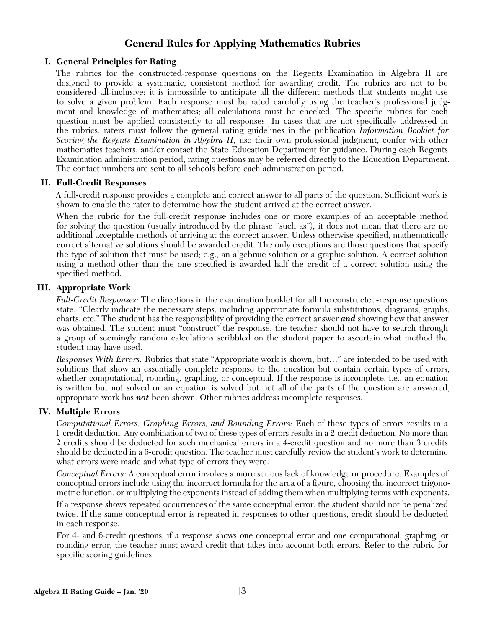# **General Rules for Applying Mathematics Rubrics**

#### **I. General Principles for Rating**

The rubrics for the constructed-response questions on the Regents Examination in Algebra II are designed to provide a systematic, consistent method for awarding credit. The rubrics are not to be considered all-inclusive; it is impossible to anticipate all the different methods that students might use to solve a given problem. Each response must be rated carefully using the teacher's professional judgment and knowledge of mathematics; all calculations must be checked. The specific rubrics for each question must be applied consistently to all responses. In cases that are not specifically addressed in the rubrics, raters must follow the general rating guidelines in the publication *Information Booklet for Scoring the Regents Examination in Algebra II*, use their own professional judgment, confer with other mathematics teachers, and/or contact the State Education Department for guidance. During each Regents Examination administration period, rating questions may be referred directly to the Education Department. The contact numbers are sent to all schools before each administration period.

#### **II. Full-Credit Responses**

A full-credit response provides a complete and correct answer to all parts of the question. Sufficient work is shown to enable the rater to determine how the student arrived at the correct answer.

When the rubric for the full-credit response includes one or more examples of an acceptable method for solving the question (usually introduced by the phrase "such as"), it does not mean that there are no additional acceptable methods of arriving at the correct answer. Unless otherwise specified, mathematically correct alternative solutions should be awarded credit. The only exceptions are those questions that specify the type of solution that must be used; e.g., an algebraic solution or a graphic solution. A correct solution using a method other than the one specified is awarded half the credit of a correct solution using the specified method.

#### **III. Appropriate Work**

*Full-Credit Responses:* The directions in the examination booklet for all the constructed-response questions state: "Clearly indicate the necessary steps, including appropriate formula substitutions, diagrams, graphs, charts, etc." The student has the responsibility of providing the correct answer *and* showing how that answer was obtained. The student must "construct" the response; the teacher should not have to search through a group of seemingly random calculations scribbled on the student paper to ascertain what method the student may have used.

*Responses With Errors:* Rubrics that state "Appropriate work is shown, but…" are intended to be used with solutions that show an essentially complete response to the question but contain certain types of errors, whether computational, rounding, graphing, or conceptual. If the response is incomplete; i.e., an equation is written but not solved or an equation is solved but not all of the parts of the question are answered, appropriate work has *not* been shown. Other rubrics address incomplete responses.

#### **IV. Multiple Errors**

*Computational Errors, Graphing Errors, and Rounding Errors:* Each of these types of errors results in a 1-credit deduction. Any combination of two of these types of errors results in a 2-credit deduction. No more than 2 credits should be deducted for such mechanical errors in a 4-credit question and no more than 3 credits should be deducted in a 6-credit question. The teacher must carefully review the student's work to determine what errors were made and what type of errors they were.

*Conceptual Errors:* A conceptual error involves a more serious lack of knowledge or procedure. Examples of conceptual errors include using the incorrect formula for the area of a figure, choosing the incorrect trigonometric function, or multiplying the exponents instead of adding them when multiplying terms with exponents.

If a response shows repeated occurrences of the same conceptual error, the student should not be penalized twice. If the same conceptual error is repeated in responses to other questions, credit should be deducted in each response.

For 4- and 6-credit questions, if a response shows one conceptual error and one computational, graphing, or rounding error, the teacher must award credit that takes into account both errors. Refer to the rubric for specific scoring guidelines.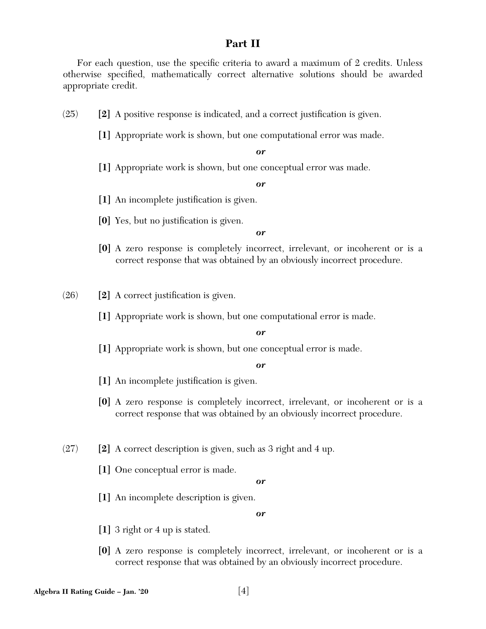# **Part II**

For each question, use the specific criteria to award a maximum of 2 credits. Unless otherwise specified, mathematically correct alternative solutions should be awarded appropriate credit.

- $(25)$  **[2]** A positive response is indicated, and a correct justification is given.
	- **[1]** Appropriate work is shown, but one computational error was made.

*or*

**[1]** Appropriate work is shown, but one conceptual error was made.

*or*

- [1] An incomplete justification is given.
- **[0]** Yes, but no justification is given.

#### *or*

**[0]** A zero response is completely incorrect, irrelevant, or incoherent or is a correct response that was obtained by an obviously incorrect procedure.

 $(26)$  **[2]** A correct justification is given.

**[1]** Appropriate work is shown, but one computational error is made.

#### *or*

**[1]** Appropriate work is shown, but one conceptual error is made.

*or*

- [1] An incomplete justification is given.
- **[0]** A zero response is completely incorrect, irrelevant, or incoherent or is a correct response that was obtained by an obviously incorrect procedure.
- (27) **[2]** A correct description is given, such as 3 right and 4 up.
	- **[1]** One conceptual error is made.

*or*

**[1]** An incomplete description is given.

- **[1]** 3 right or 4 up is stated.
- **[0]** A zero response is completely incorrect, irrelevant, or incoherent or is a correct response that was obtained by an obviously incorrect procedure.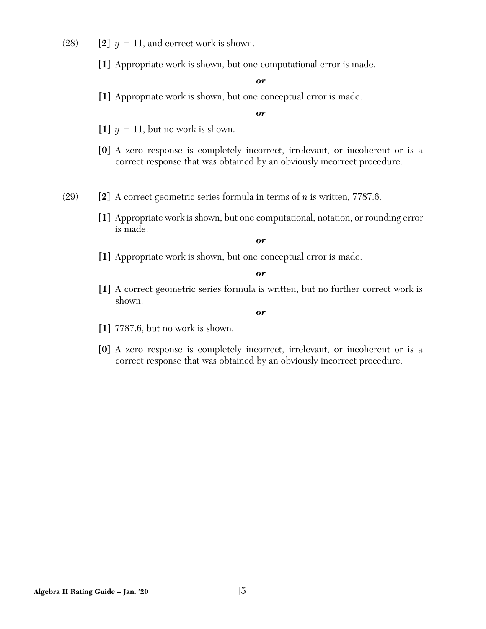- $(28)$  **[2]**  $y = 11$ , and correct work is shown.
	- **[1]** Appropriate work is shown, but one computational error is made.

**[1]** Appropriate work is shown, but one conceptual error is made.

*or*

- [1]  $y = 11$ , but no work is shown.
- **[0]** A zero response is completely incorrect, irrelevant, or incoherent or is a correct response that was obtained by an obviously incorrect procedure.
- (29) **[2]** A correct geometric series formula in terms of *n* is written, 7787.6.
	- **[1]** Appropriate work is shown, but one computational, notation, or rounding error is made.

*or*

**[1]** Appropriate work is shown, but one conceptual error is made.

*or*

**[1]** A correct geometric series formula is written, but no further correct work is shown.

- **[1]** 7787.6, but no work is shown.
- **[0]** A zero response is completely incorrect, irrelevant, or incoherent or is a correct response that was obtained by an obviously incorrect procedure.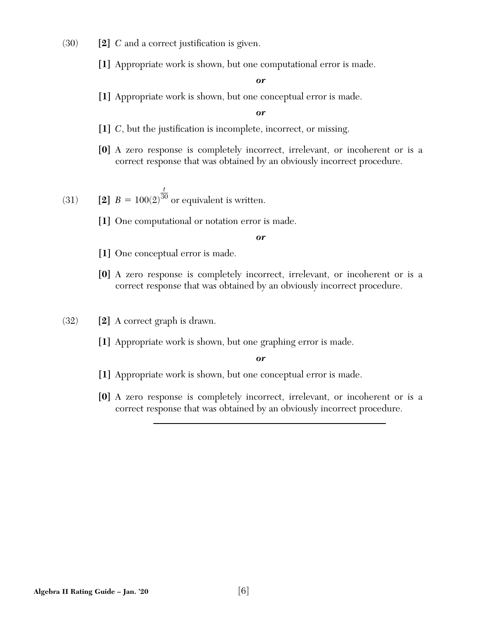- $(30)$  **[2]** *C* and a correct justification is given.
	- **[1]** Appropriate work is shown, but one computational error is made.

**[1]** Appropriate work is shown, but one conceptual error is made.

*or*

- [1] *C*, but the justification is incomplete, incorrect, or missing.
- **[0]** A zero response is completely incorrect, irrelevant, or incoherent or is a correct response that was obtained by an obviously incorrect procedure.

(31) **[2]** 
$$
B = 100(2)^{\frac{t}{30}}
$$
 or equivalent is written.

**[1]** One computational or notation error is made.

*or*

- **[1]** One conceptual error is made.
- **[0]** A zero response is completely incorrect, irrelevant, or incoherent or is a correct response that was obtained by an obviously incorrect procedure.
- (32) **[2]** A correct graph is drawn.
	- **[1]** Appropriate work is shown, but one graphing error is made.

- **[1]** Appropriate work is shown, but one conceptual error is made.
- **[0]** A zero response is completely incorrect, irrelevant, or incoherent or is a correct response that was obtained by an obviously incorrect procedure.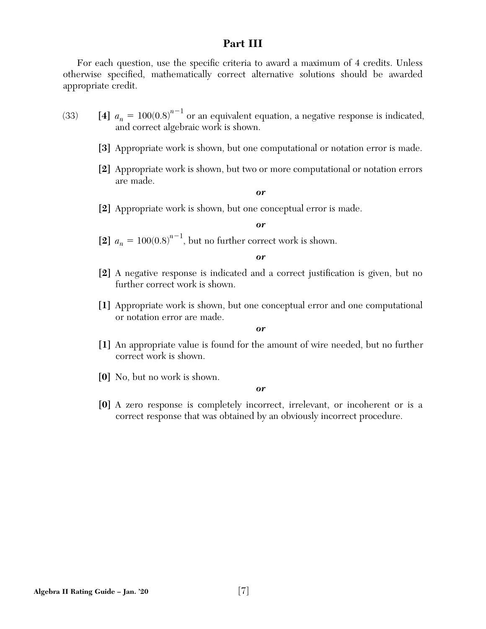# **Part III**

For each question, use the specific criteria to award a maximum of 4 credits. Unless otherwise specified, mathematically correct alternative solutions should be awarded appropriate credit.

- (33) **[4]**  $a_n = 100(0.8)^{n-1}$  or an equivalent equation, a negative response is indicated, and correct algebraic work is shown.
	- **[3]** Appropriate work is shown, but one computational or notation error is made.
	- **[2]** Appropriate work is shown, but two or more computational or notation errors are made.

*or*

**[2]** Appropriate work is shown, but one conceptual error is made.

*or*

[2]  $a_n = 100(0.8)^{n-1}$ , but no further correct work is shown.

*or*

- [2] A negative response is indicated and a correct justification is given, but no further correct work is shown.
- **[1]** Appropriate work is shown, but one conceptual error and one computational or notation error are made.

*or*

- **[1]** An appropriate value is found for the amount of wire needed, but no further correct work is shown.
- **[0]** No, but no work is shown.

*or*

**[0]** A zero response is completely incorrect, irrelevant, or incoherent or is a correct response that was obtained by an obviously incorrect procedure.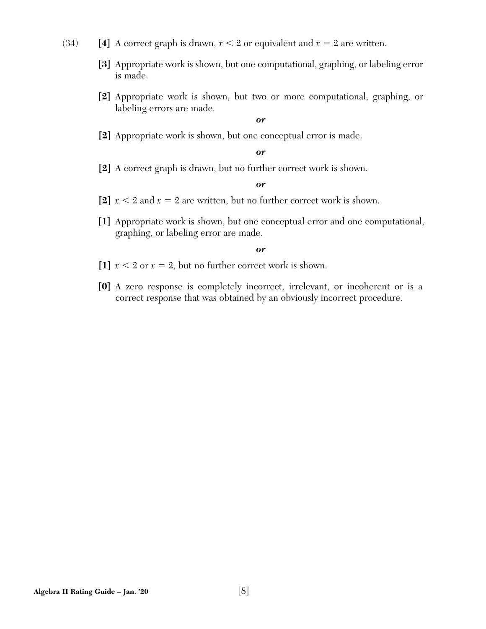- $(34)$  [4] A correct graph is drawn,  $x < 2$  or equivalent and  $x = 2$  are written.
	- **[3]** Appropriate work is shown, but one computational, graphing, or labeling error is made.
	- **[2]** Appropriate work is shown, but two or more computational, graphing, or labeling errors are made.

**[2]** Appropriate work is shown, but one conceptual error is made.

#### *or*

**[2]** A correct graph is drawn, but no further correct work is shown.

#### *or*

- [2]  $x < 2$  and  $x = 2$  are written, but no further correct work is shown.
- **[1]** Appropriate work is shown, but one conceptual error and one computational, graphing, or labeling error are made.

- [1]  $x < 2$  or  $x = 2$ , but no further correct work is shown.
- **[0]** A zero response is completely incorrect, irrelevant, or incoherent or is a correct response that was obtained by an obviously incorrect procedure.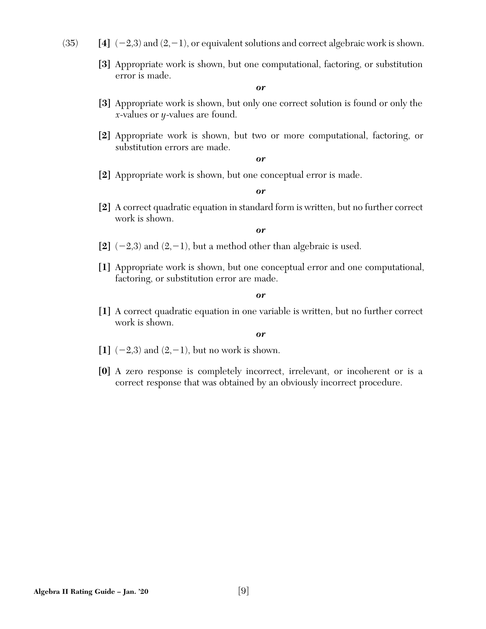- $(35)$  [4]  $(-2,3)$  and  $(2,-1)$ , or equivalent solutions and correct algebraic work is shown.
	- **[3]** Appropriate work is shown, but one computational, factoring, or substitution error is made.

- **[3]** Appropriate work is shown, but only one correct solution is found or only the *x*-values or *y*-values are found.
- **[2]** Appropriate work is shown, but two or more computational, factoring, or substitution errors are made.

*or*

**[2]** Appropriate work is shown, but one conceptual error is made.

*or*

**[2]** A correct quadratic equation in standard form is written, but no further correct work is shown.

#### *or*

- $[2]$  (-2,3) and (2,-1), but a method other than algebraic is used.
- **[1]** Appropriate work is shown, but one conceptual error and one computational, factoring, or substitution error are made.

#### *or*

**[1]** A correct quadratic equation in one variable is written, but no further correct work is shown.

- $\begin{bmatrix} 1 \end{bmatrix}$  (-2,3) and (2,-1), but no work is shown.
- **[0]** A zero response is completely incorrect, irrelevant, or incoherent or is a correct response that was obtained by an obviously incorrect procedure.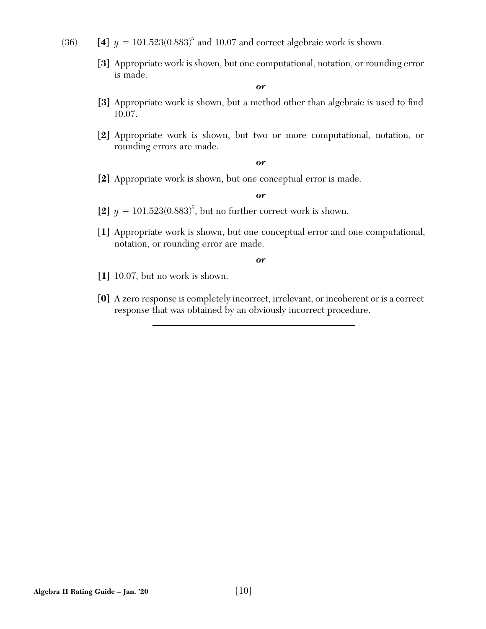- (36) **[4]**  $y = 101.523(0.883)^x$  and 10.07 and correct algebraic work is shown.
	- **[3]** Appropriate work is shown, but one computational, notation, or rounding error is made.

- [3] Appropriate work is shown, but a method other than algebraic is used to find 10.07.
- **[2]** Appropriate work is shown, but two or more computational, notation, or rounding errors are made.

#### *or*

**[2]** Appropriate work is shown, but one conceptual error is made.

#### *or*

- [2]  $y = 101.523(0.883)^x$ , but no further correct work is shown.
- **[1]** Appropriate work is shown, but one conceptual error and one computational, notation, or rounding error are made.

- **[1]** 10.07, but no work is shown.
- **[0]** A zero response is completely incorrect, irrelevant, or incoherent or is a correct response that was obtained by an obviously incorrect procedure.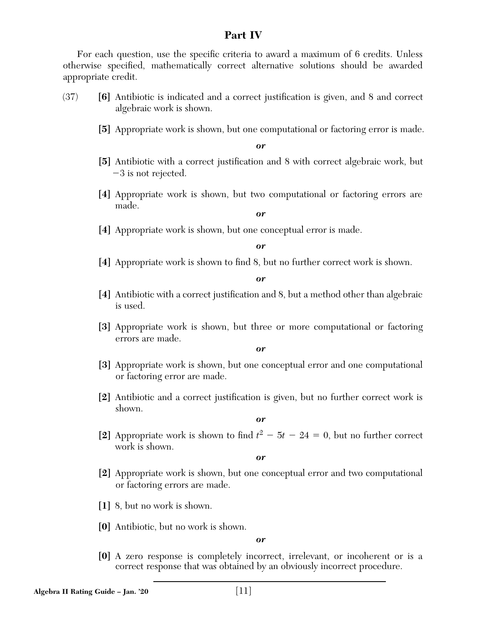# **Part IV**

For each question, use the specific criteria to award a maximum of 6 credits. Unless otherwise specified, mathematically correct alternative solutions should be awarded appropriate credit.

- (37) **[6]** Antibiotic is indicated and a correct justification is given, and 8 and correct algebraic work is shown.
	- **[5]** Appropriate work is shown, but one computational or factoring error is made.

*or*

- [5] Antibiotic with a correct justification and 8 with correct algebraic work, but  $-3$  is not rejected.
- **[4]** Appropriate work is shown, but two computational or factoring errors are made.

#### *or*

**[4]** Appropriate work is shown, but one conceptual error is made.

*or*

**[4]** Appropriate work is shown to find 8, but no further correct work is shown.

*or*

- [4] Antibiotic with a correct justification and 8, but a method other than algebraic is used.
- **[3]** Appropriate work is shown, but three or more computational or factoring errors are made.

*or*

- **[3]** Appropriate work is shown, but one conceptual error and one computational or factoring error are made.
- **[2]** Antibiotic and a correct justification is given, but no further correct work is shown.

*or*

[2] Appropriate work is shown to find  $t^2 - 5t - 24 = 0$ , but no further correct work is shown.

*or*

- **[2]** Appropriate work is shown, but one conceptual error and two computational or factoring errors are made.
- **[1]** 8, but no work is shown.
- **[0]** Antibiotic, but no work is shown.

*or*

**[0]** A zero response is completely incorrect, irrelevant, or incoherent or is a correct response that was obtained by an obviously incorrect procedure.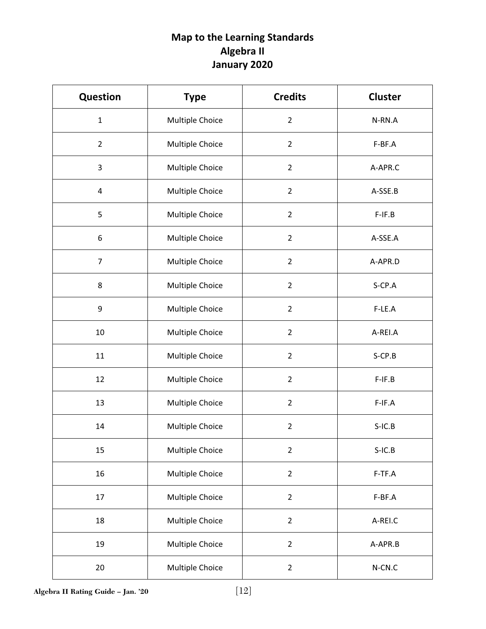# **Map to the Learning Standards Algebra II January 2020**

| <b>Question</b> | <b>Type</b>     | <b>Credits</b> | <b>Cluster</b> |  |
|-----------------|-----------------|----------------|----------------|--|
| $\mathbf{1}$    | Multiple Choice | $\overline{2}$ | N-RN.A         |  |
| $\overline{2}$  | Multiple Choice | $\overline{2}$ | F-BF.A         |  |
| 3               | Multiple Choice | $\overline{2}$ | A-APR.C        |  |
| 4               | Multiple Choice | $\overline{2}$ | A-SSE.B        |  |
| 5               | Multiple Choice | $\overline{2}$ | $F-IF.B$       |  |
| 6               | Multiple Choice | $\overline{2}$ | A-SSE.A        |  |
| $\overline{7}$  | Multiple Choice | $\overline{2}$ | A-APR.D        |  |
| 8               | Multiple Choice | $\overline{2}$ | S-CP.A         |  |
| 9               | Multiple Choice | $\overline{2}$ | $F-LE.A$       |  |
| $10\,$          | Multiple Choice | $\overline{2}$ | A-REI.A        |  |
| 11              | Multiple Choice | $\overline{2}$ | $S$ -CP.B      |  |
| 12              | Multiple Choice | $\overline{2}$ | $F-IF.B$       |  |
| 13              | Multiple Choice | $\overline{2}$ | F-IF.A         |  |
| 14              | Multiple Choice | $\overline{2}$ | $S-IC.B$       |  |
| 15              | Multiple Choice | $\overline{2}$ | $S-IC.B$       |  |
| 16              | Multiple Choice | $\overline{2}$ | F-TF.A         |  |
| 17              | Multiple Choice | $\overline{2}$ | F-BF.A         |  |
| 18              | Multiple Choice | $\overline{2}$ | A-REI.C        |  |
| 19              | Multiple Choice | $\overline{2}$ | A-APR.B        |  |
| 20              | Multiple Choice | $\overline{2}$ | $N$ -CN.C      |  |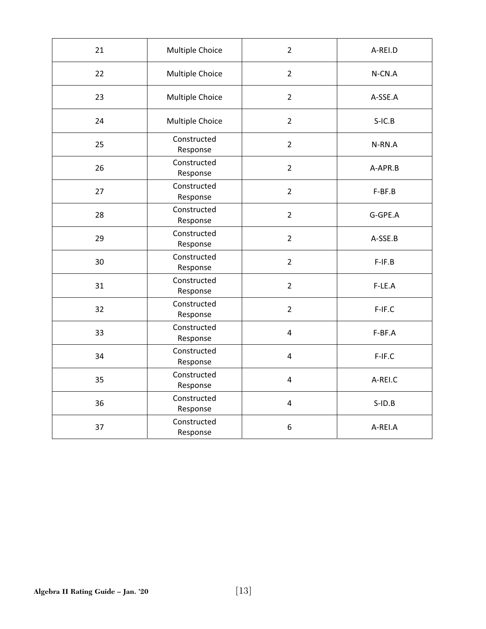| 21 | Multiple Choice         | $\overline{2}$ | A-REI.D   |
|----|-------------------------|----------------|-----------|
| 22 | Multiple Choice         | $\overline{2}$ | N-CN.A    |
| 23 | Multiple Choice         | $\overline{2}$ | A-SSE.A   |
| 24 | Multiple Choice         | $\overline{2}$ | $S-IC.B$  |
| 25 | Constructed<br>Response | $\overline{2}$ | N-RN.A    |
| 26 | Constructed<br>Response | $\overline{2}$ | A-APR.B   |
| 27 | Constructed<br>Response | $\overline{2}$ | F-BF.B    |
| 28 | Constructed<br>Response | $\overline{2}$ | G-GPE.A   |
| 29 | Constructed<br>Response | $\overline{2}$ | A-SSE.B   |
| 30 | Constructed<br>Response | $\overline{2}$ | $F-IF.B$  |
| 31 | Constructed<br>Response | $\overline{2}$ | F-LE.A    |
| 32 | Constructed<br>Response | $\overline{2}$ | F-IF.C    |
| 33 | Constructed<br>Response | 4              | F-BF.A    |
| 34 | Constructed<br>Response | 4              | F-IF.C    |
| 35 | Constructed<br>Response | 4              | A-REI.C   |
| 36 | Constructed<br>Response | 4              | $S$ -ID.B |
| 37 | Constructed<br>Response | 6              | A-REI.A   |